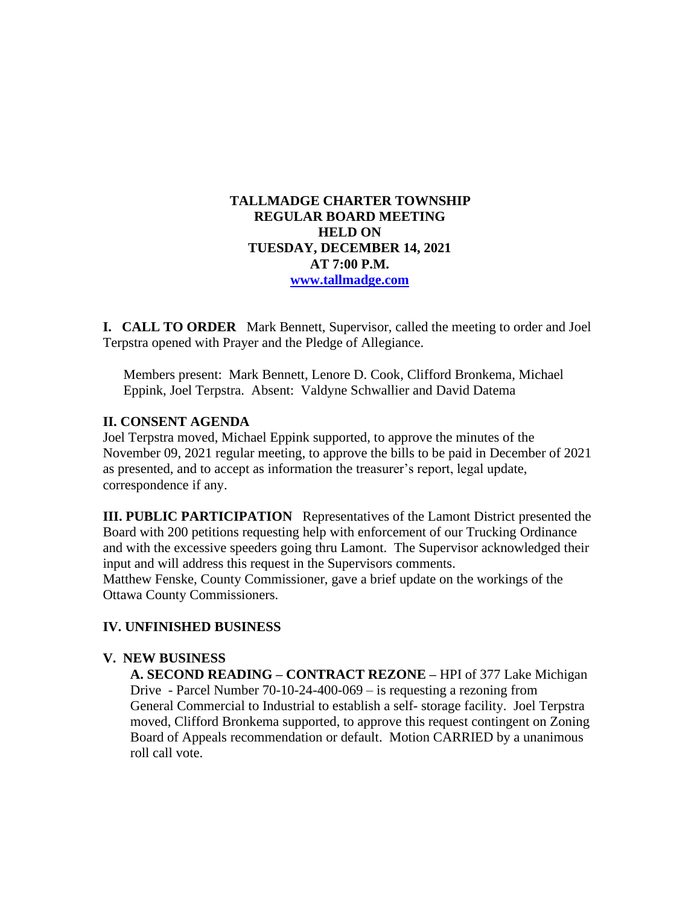## **TALLMADGE CHARTER TOWNSHIP REGULAR BOARD MEETING HELD ON TUESDAY, DECEMBER 14, 2021 AT 7:00 P.M. [www.tallmadge.com](http://www.tallmadge.com/)**

**I. CALL TO ORDER** Mark Bennett, Supervisor, called the meeting to order and Joel Terpstra opened with Prayer and the Pledge of Allegiance.

Members present: Mark Bennett, Lenore D. Cook, Clifford Bronkema, Michael Eppink, Joel Terpstra. Absent: Valdyne Schwallier and David Datema

## **II. CONSENT AGENDA**

Joel Terpstra moved, Michael Eppink supported, to approve the minutes of the November 09, 2021 regular meeting, to approve the bills to be paid in December of 2021 as presented, and to accept as information the treasurer's report, legal update, correspondence if any.

**III. PUBLIC PARTICIPATION** Representatives of the Lamont District presented the Board with 200 petitions requesting help with enforcement of our Trucking Ordinance and with the excessive speeders going thru Lamont. The Supervisor acknowledged their input and will address this request in the Supervisors comments. Matthew Fenske, County Commissioner, gave a brief update on the workings of the Ottawa County Commissioners.

## **IV. UNFINISHED BUSINESS**

## **V. NEW BUSINESS**

 **A. SECOND READING – CONTRACT REZONE –** HPI of 377 Lake Michigan Drive - Parcel Number 70-10-24-400-069 – is requesting a rezoning from General Commercial to Industrial to establish a self- storage facility. Joel Terpstra moved, Clifford Bronkema supported, to approve this request contingent on Zoning Board of Appeals recommendation or default. Motion CARRIED by a unanimous roll call vote.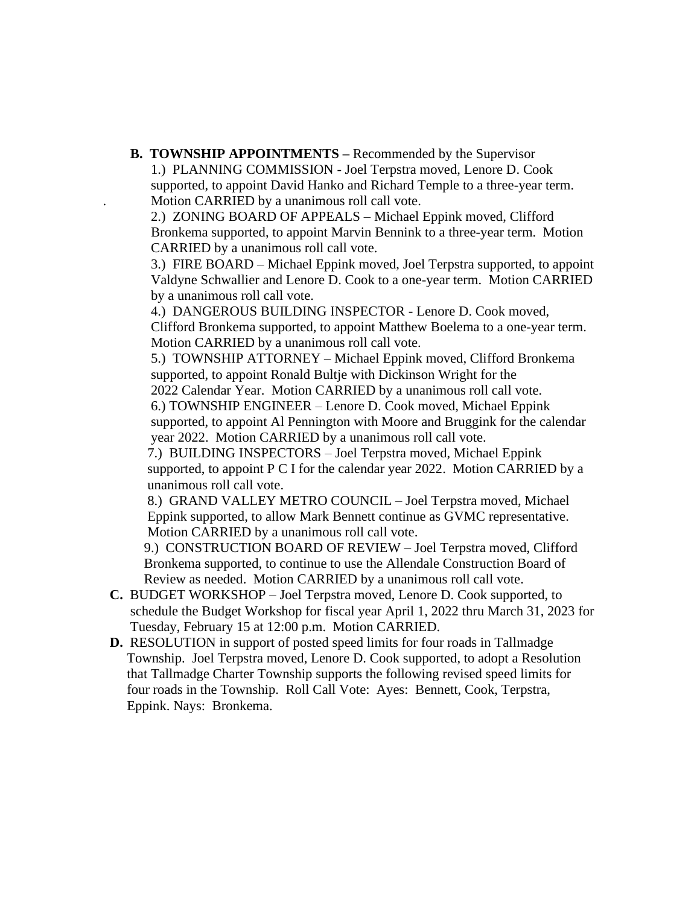**B. TOWNSHIP APPOINTMENTS –** Recommended by the Supervisor 1.) PLANNING COMMISSION - Joel Terpstra moved, Lenore D. Cook supported, to appoint David Hanko and Richard Temple to a three-year term. . Motion CARRIED by a unanimous roll call vote.

 2.) ZONING BOARD OF APPEALS – Michael Eppink moved, Clifford Bronkema supported, to appoint Marvin Bennink to a three-year term. Motion CARRIED by a unanimous roll call vote.

 3.) FIRE BOARD – Michael Eppink moved, Joel Terpstra supported, to appoint Valdyne Schwallier and Lenore D. Cook to a one-year term. Motion CARRIED by a unanimous roll call vote.

 4.) DANGEROUS BUILDING INSPECTOR - Lenore D. Cook moved, Clifford Bronkema supported, to appoint Matthew Boelema to a one-year term. Motion CARRIED by a unanimous roll call vote.

 5.) TOWNSHIP ATTORNEY – Michael Eppink moved, Clifford Bronkema supported, to appoint Ronald Bultje with Dickinson Wright for the

 2022 Calendar Year. Motion CARRIED by a unanimous roll call vote. 6.) TOWNSHIP ENGINEER – Lenore D. Cook moved, Michael Eppink supported, to appoint Al Pennington with Moore and Bruggink for the calendar

year 2022. Motion CARRIED by a unanimous roll call vote.

 7.) BUILDING INSPECTORS – Joel Terpstra moved, Michael Eppink supported, to appoint P C I for the calendar year 2022. Motion CARRIED by a unanimous roll call vote.

 8.) GRAND VALLEY METRO COUNCIL – Joel Terpstra moved, Michael Eppink supported, to allow Mark Bennett continue as GVMC representative. Motion CARRIED by a unanimous roll call vote.

 9.) CONSTRUCTION BOARD OF REVIEW – Joel Terpstra moved, Clifford Bronkema supported, to continue to use the Allendale Construction Board of Review as needed. Motion CARRIED by a unanimous roll call vote.

- **C.** BUDGET WORKSHOP Joel Terpstra moved, Lenore D. Cook supported, to schedule the Budget Workshop for fiscal year April 1, 2022 thru March 31, 2023 for Tuesday, February 15 at 12:00 p.m. Motion CARRIED.
- **D.** RESOLUTION in support of posted speed limits for four roads in Tallmadge Township. Joel Terpstra moved, Lenore D. Cook supported, to adopt a Resolution that Tallmadge Charter Township supports the following revised speed limits for four roads in the Township. Roll Call Vote: Ayes: Bennett, Cook, Terpstra, Eppink. Nays: Bronkema.